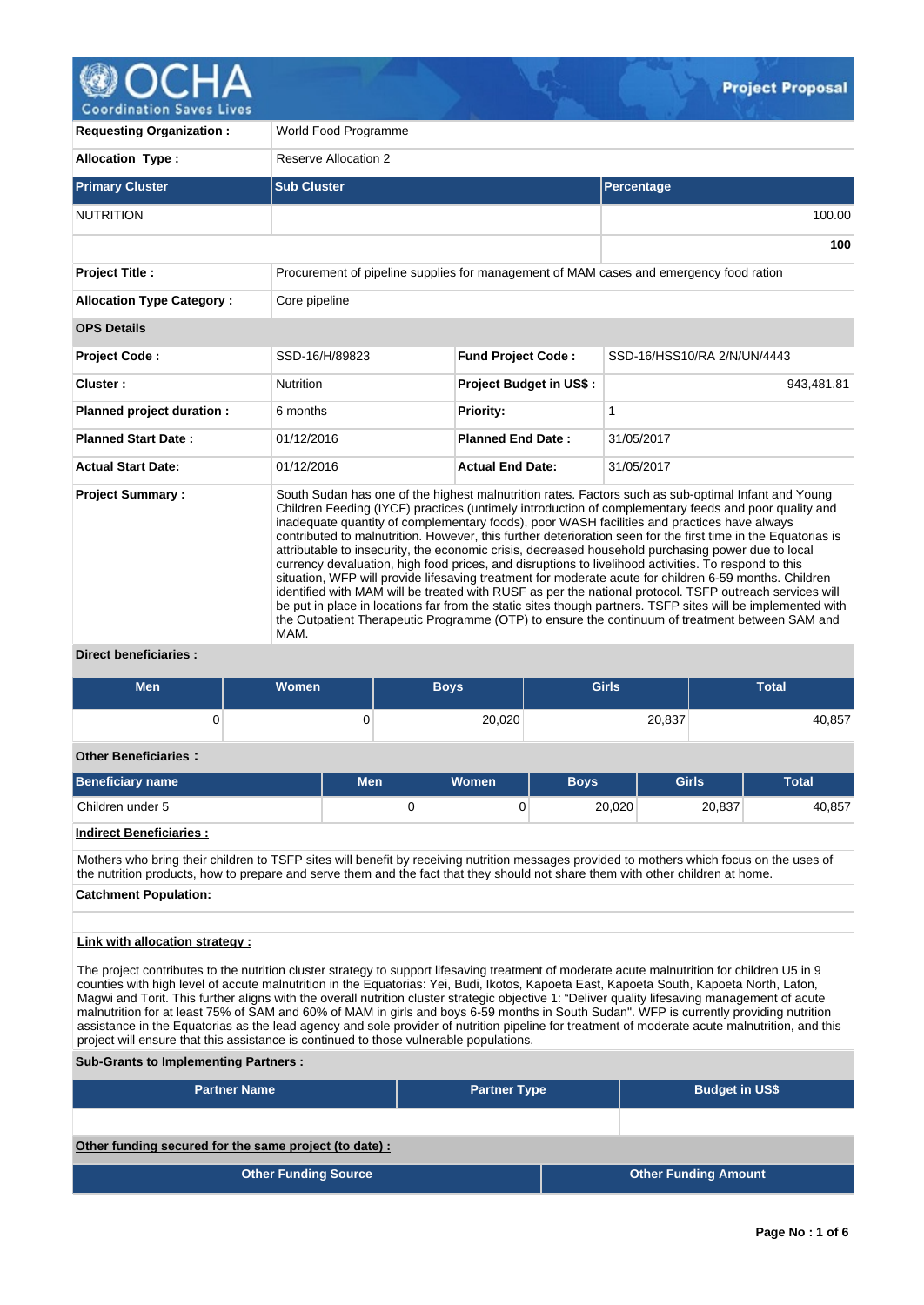

**100**

**Requesting Organization :** World Food Programme **Allocation Type :** Reserve Allocation 2 **Primary Cluster Sub Cluster Sub Cluster** Sub Cluster Sub Cluster Sub Cluster Sub Cluster Sub Cluster Sub Cluster NUTRITION 100.00 **Project Title :** Procurement of pipeline supplies for management of MAM cases and emergency food ration **Allocation Type Category :** Core pipeline **OPS Details Project Code :** SSD-16/H/89823 **Fund Project Code :** SSD-16/HSS10/RA 2/N/UN/4443 **Cluster :**  $\qquad \qquad \text{Nutrition}$  **Project Budget in US\$ :** 943,481.81 **Planned project duration :** 6 months **Priority:** 1 **Planned Start Date :** 01/12/2016 **Planned End Date :** 31/05/2017 **Actual Start Date:** 01/12/2016 **Actual End Date:** 31/05/2017 **Project Summary :** South Sudan has one of the highest malnutrition rates. Factors such as sub-optimal Infant and Young Children Feeding (IYCF) practices (untimely introduction of complementary feeds and poor quality and

inadequate quantity of complementary foods), poor WASH facilities and practices have always contributed to malnutrition. However, this further deterioration seen for the first time in the Equatorias is attributable to insecurity, the economic crisis, decreased household purchasing power due to local currency devaluation, high food prices, and disruptions to livelihood activities. To respond to this situation, WFP will provide lifesaving treatment for moderate acute for children 6-59 months. Children identified with MAM will be treated with RUSF as per the national protocol. TSFP outreach services will be put in place in locations far from the static sites though partners. TSFP sites will be implemented with the Outpatient Therapeutic Programme (OTP) to ensure the continuum of treatment between SAM and MAM.

# **Direct beneficiaries :**

| <b>Men</b>                                                                                                                                                                                                                                                                    | Women |            |   | <b>Boys</b> | <b>Girls</b> |        | <b>Total</b> |  |  |
|-------------------------------------------------------------------------------------------------------------------------------------------------------------------------------------------------------------------------------------------------------------------------------|-------|------------|---|-------------|--------------|--------|--------------|--|--|
|                                                                                                                                                                                                                                                                               |       | 0          |   | 20.020      |              | 20.837 | 40.857       |  |  |
| <b>Other Beneficiaries:</b>                                                                                                                                                                                                                                                   |       |            |   |             |              |        |              |  |  |
| <b>Beneficiary name</b>                                                                                                                                                                                                                                                       |       | <b>Men</b> |   | Women       | <b>Boys</b>  | Girls  | <b>Total</b> |  |  |
| Children under 5                                                                                                                                                                                                                                                              |       |            | 0 |             | 20.020       | 20.837 | 40.857       |  |  |
| <b>Indirect Beneficiaries:</b>                                                                                                                                                                                                                                                |       |            |   |             |              |        |              |  |  |
| Mothers who bring their children to TSFP sites will benefit by receiving nutrition messages provided to mothers which focus on the uses of<br>the nutrition products, how to prepare and serve them and the fact that they should not share them with other children at home. |       |            |   |             |              |        |              |  |  |
| <b>Catchment Population:</b>                                                                                                                                                                                                                                                  |       |            |   |             |              |        |              |  |  |

### **Link with allocation strategy :**

The project contributes to the nutrition cluster strategy to support lifesaving treatment of moderate acute malnutrition for children U5 in 9 counties with high level of accute malnutrition in the Equatorias: Yei, Budi, Ikotos, Kapoeta East, Kapoeta South, Kapoeta North, Lafon, Magwi and Torit. This further aligns with the overall nutrition cluster strategic objective 1: "Deliver quality lifesaving management of acute malnutrition for at least 75% of SAM and 60% of MAM in girls and boys 6-59 months in South Sudan". WFP is currently providing nutrition assistance in the Equatorias as the lead agency and sole provider of nutrition pipeline for treatment of moderate acute malnutrition, and this project will ensure that this assistance is continued to those vulnerable populations.

**Sub-Grants to Implementing Partners :**

| <b>Partner Name</b>                                   | <b>Partner Type</b> |  | <b>Budget in US\$</b>       |  |  |  |  |  |
|-------------------------------------------------------|---------------------|--|-----------------------------|--|--|--|--|--|
|                                                       |                     |  |                             |  |  |  |  |  |
| Other funding secured for the same project (to date): |                     |  |                             |  |  |  |  |  |
| <b>Other Funding Source</b>                           |                     |  | <b>Other Funding Amount</b> |  |  |  |  |  |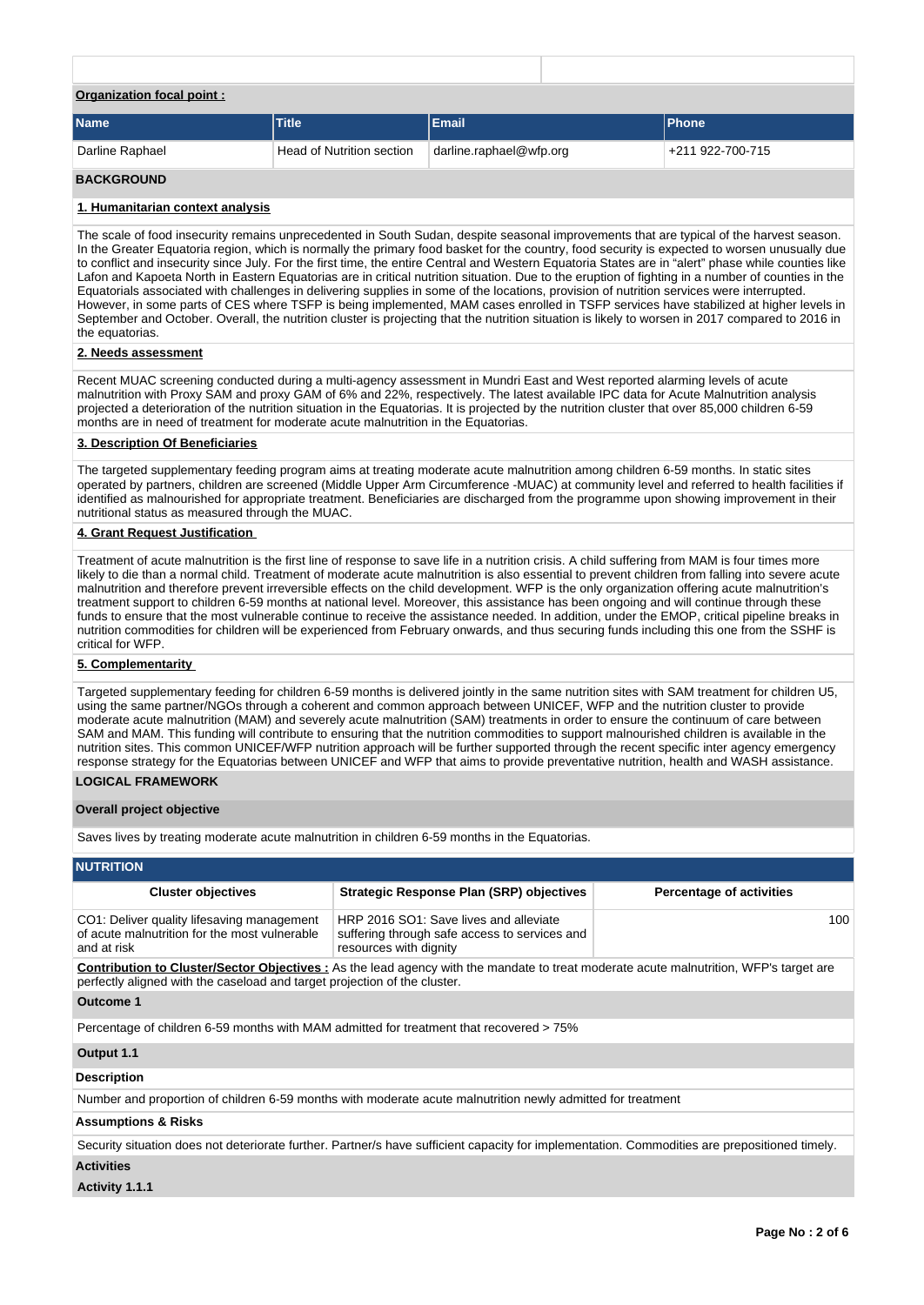| <b>Organization focal point:</b> |                           |                         |                  |
|----------------------------------|---------------------------|-------------------------|------------------|
| <b>Name</b>                      | <b>Title</b>              | Email                   | <b>Phone</b>     |
| Darline Raphael                  | Head of Nutrition section | darline.raphael@wfp.org | +211 922-700-715 |

## **BACKGROUND**

#### **1. Humanitarian context analysis**

The scale of food insecurity remains unprecedented in South Sudan, despite seasonal improvements that are typical of the harvest season. In the Greater Equatoria region, which is normally the primary food basket for the country, food security is expected to worsen unusually due to conflict and insecurity since July. For the first time, the entire Central and Western Equatoria States are in "alert" phase while counties like Lafon and Kapoeta North in Eastern Equatorias are in critical nutrition situation. Due to the eruption of fighting in a number of counties in the Equatorials associated with challenges in delivering supplies in some of the locations, provision of nutrition services were interrupted. However, in some parts of CES where TSFP is being implemented, MAM cases enrolled in TSFP services have stabilized at higher levels in September and October. Overall, the nutrition cluster is projecting that the nutrition situation is likely to worsen in 2017 compared to 2016 in the equatorias.

#### **2. Needs assessment**

Recent MUAC screening conducted during a multi-agency assessment in Mundri East and West reported alarming levels of acute malnutrition with Proxy SAM and proxy GAM of 6% and 22%, respectively. The latest available IPC data for Acute Malnutrition analysis projected a deterioration of the nutrition situation in the Equatorias. It is projected by the nutrition cluster that over 85,000 children 6-59 months are in need of treatment for moderate acute malnutrition in the Equatorias.

#### **3. Description Of Beneficiaries**

The targeted supplementary feeding program aims at treating moderate acute malnutrition among children 6-59 months. In static sites operated by partners, children are screened (Middle Upper Arm Circumference -MUAC) at community level and referred to health facilities if identified as malnourished for appropriate treatment. Beneficiaries are discharged from the programme upon showing improvement in their nutritional status as measured through the MUAC.

#### **4. Grant Request Justification**

Treatment of acute malnutrition is the first line of response to save life in a nutrition crisis. A child suffering from MAM is four times more likely to die than a normal child. Treatment of moderate acute malnutrition is also essential to prevent children from falling into severe acute malnutrition and therefore prevent irreversible effects on the child development. WFP is the only organization offering acute malnutrition's treatment support to children 6-59 months at national level. Moreover, this assistance has been ongoing and will continue through these funds to ensure that the most vulnerable continue to receive the assistance needed. In addition, under the EMOP, critical pipeline breaks in nutrition commodities for children will be experienced from February onwards, and thus securing funds including this one from the SSHF is critical for WFP.

#### **5. Complementarity**

Targeted supplementary feeding for children 6-59 months is delivered jointly in the same nutrition sites with SAM treatment for children U5, using the same partner/NGOs through a coherent and common approach between UNICEF, WFP and the nutrition cluster to provide moderate acute malnutrition (MAM) and severely acute malnutrition (SAM) treatments in order to ensure the continuum of care between SAM and MAM. This funding will contribute to ensuring that the nutrition commodities to support malnourished children is available in the nutrition sites. This common UNICEF/WFP nutrition approach will be further supported through the recent specific inter agency emergency response strategy for the Equatorias between UNICEF and WFP that aims to provide preventative nutrition, health and WASH assistance.

### **LOGICAL FRAMEWORK**

#### **Overall project objective**

Saves lives by treating moderate acute malnutrition in children 6-59 months in the Equatorias.

### **NUTRITION**

| <b>Cluster objectives</b>                                                                                                                                                                                                  | <b>Strategic Response Plan (SRP) objectives</b>                                                                   | <b>Percentage of activities</b> |  |  |  |  |  |  |
|----------------------------------------------------------------------------------------------------------------------------------------------------------------------------------------------------------------------------|-------------------------------------------------------------------------------------------------------------------|---------------------------------|--|--|--|--|--|--|
| CO1: Deliver quality lifesaving management<br>of acute malnutrition for the most vulnerable<br>and at risk                                                                                                                 | HRP 2016 SO1: Save lives and alleviate<br>suffering through safe access to services and<br>resources with dignity | 100                             |  |  |  |  |  |  |
| <b>Contribution to Cluster/Sector Objectives</b> : As the lead agency with the mandate to treat moderate acute malnutrition, WFP's target are<br>perfectly aligned with the caseload and target projection of the cluster. |                                                                                                                   |                                 |  |  |  |  |  |  |
| Outcome 1                                                                                                                                                                                                                  |                                                                                                                   |                                 |  |  |  |  |  |  |
| Percentage of children 6-59 months with MAM admitted for treatment that recovered > 75%                                                                                                                                    |                                                                                                                   |                                 |  |  |  |  |  |  |
| Output 1.1                                                                                                                                                                                                                 |                                                                                                                   |                                 |  |  |  |  |  |  |
| <b>Description</b>                                                                                                                                                                                                         |                                                                                                                   |                                 |  |  |  |  |  |  |
| Number and proportion of children 6-59 months with moderate acute malnutrition newly admitted for treatment                                                                                                                |                                                                                                                   |                                 |  |  |  |  |  |  |

### **Assumptions & Risks**

Security situation does not deteriorate further. Partner/s have sufficient capacity for implementation. Commodities are prepositioned timely.

# **Activities**

**Activity 1.1.1**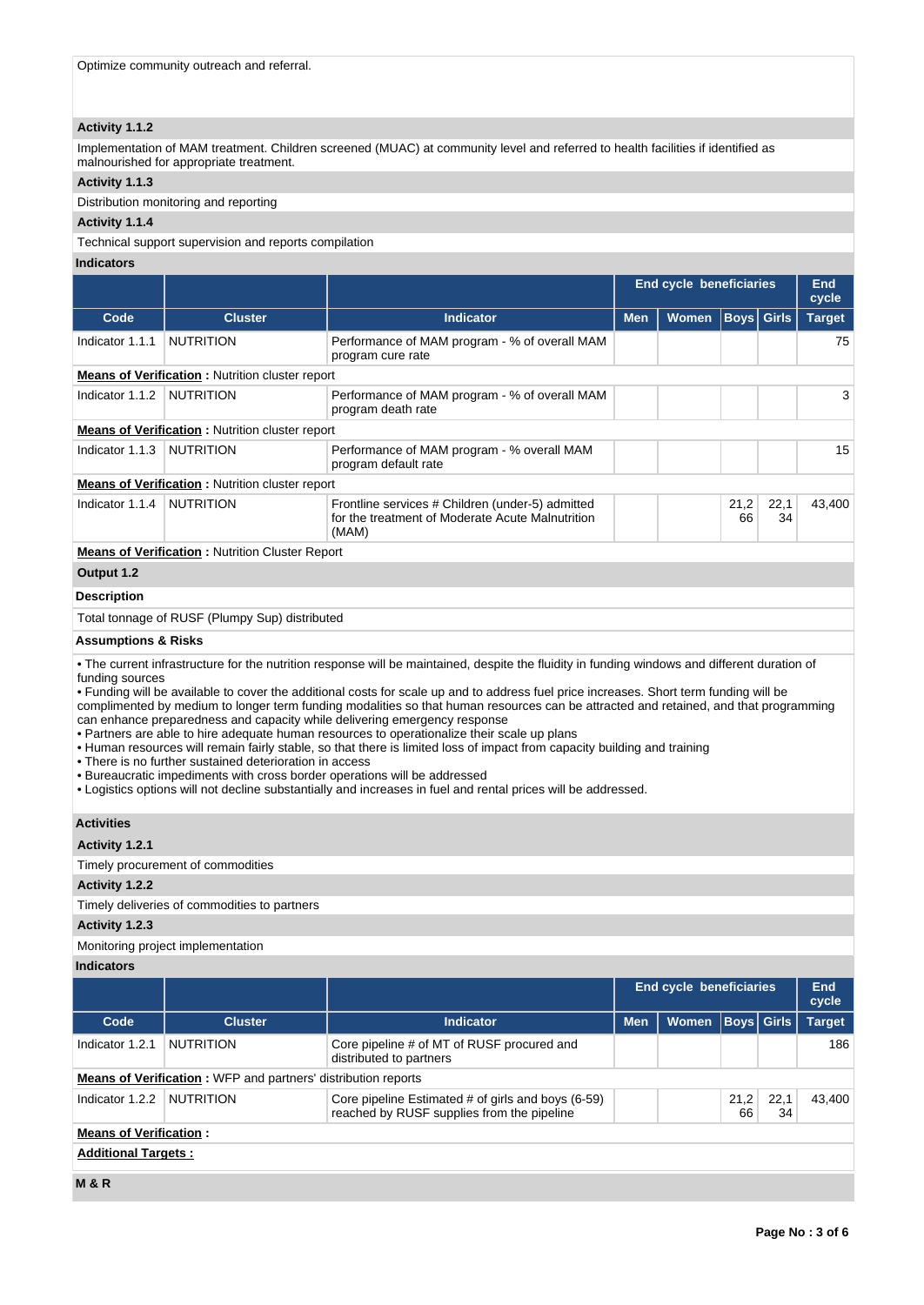# **Activity 1.1.2**

Implementation of MAM treatment. Children screened (MUAC) at community level and referred to health facilities if identified as malnourished for appropriate treatment.

# **Activity 1.1.3**

Distribution monitoring and reporting

# **Activity 1.1.4**

Technical support supervision and reports compilation

# **Indicators**

|                                              |                                                         |                                                                                                                                                                                                                                                                                                                                                                                                                                                                                                                                                                                                                                                                                                                                                                                                                                                                                                                                       |                                    | <b>End cycle beneficiaries</b> |              |               | <b>End</b><br>cycle |  |  |
|----------------------------------------------|---------------------------------------------------------|---------------------------------------------------------------------------------------------------------------------------------------------------------------------------------------------------------------------------------------------------------------------------------------------------------------------------------------------------------------------------------------------------------------------------------------------------------------------------------------------------------------------------------------------------------------------------------------------------------------------------------------------------------------------------------------------------------------------------------------------------------------------------------------------------------------------------------------------------------------------------------------------------------------------------------------|------------------------------------|--------------------------------|--------------|---------------|---------------------|--|--|
|                                              |                                                         |                                                                                                                                                                                                                                                                                                                                                                                                                                                                                                                                                                                                                                                                                                                                                                                                                                                                                                                                       | <b>Men</b><br>Women<br><b>Boys</b> |                                |              |               |                     |  |  |
| Code                                         | <b>Cluster</b>                                          | <b>Indicator</b>                                                                                                                                                                                                                                                                                                                                                                                                                                                                                                                                                                                                                                                                                                                                                                                                                                                                                                                      |                                    |                                |              | <b>Girls</b>  | <b>Target</b>       |  |  |
| Indicator 1.1.1                              | <b>NUTRITION</b>                                        | Performance of MAM program - % of overall MAM<br>program cure rate                                                                                                                                                                                                                                                                                                                                                                                                                                                                                                                                                                                                                                                                                                                                                                                                                                                                    |                                    |                                |              |               | 75                  |  |  |
|                                              | <b>Means of Verification:</b> Nutrition cluster report  |                                                                                                                                                                                                                                                                                                                                                                                                                                                                                                                                                                                                                                                                                                                                                                                                                                                                                                                                       |                                    |                                |              |               |                     |  |  |
| Indicator 1.1.2                              | <b>NUTRITION</b>                                        | Performance of MAM program - % of overall MAM<br>program death rate                                                                                                                                                                                                                                                                                                                                                                                                                                                                                                                                                                                                                                                                                                                                                                                                                                                                   |                                    |                                |              |               | 3                   |  |  |
|                                              | <b>Means of Verification:</b> Nutrition cluster report  |                                                                                                                                                                                                                                                                                                                                                                                                                                                                                                                                                                                                                                                                                                                                                                                                                                                                                                                                       |                                    |                                |              |               |                     |  |  |
| Indicator 1.1.3                              | <b>NUTRITION</b>                                        | Performance of MAM program - % overall MAM<br>program default rate                                                                                                                                                                                                                                                                                                                                                                                                                                                                                                                                                                                                                                                                                                                                                                                                                                                                    |                                    |                                |              |               | 15                  |  |  |
|                                              | <b>Means of Verification:</b> Nutrition cluster report  |                                                                                                                                                                                                                                                                                                                                                                                                                                                                                                                                                                                                                                                                                                                                                                                                                                                                                                                                       |                                    |                                |              |               |                     |  |  |
| Indicator 1.1.4                              | <b>NUTRITION</b>                                        | Frontline services # Children (under-5) admitted<br>21,2<br>22,1<br>for the treatment of Moderate Acute Malnutrition<br>66<br>34<br>(MAM)                                                                                                                                                                                                                                                                                                                                                                                                                                                                                                                                                                                                                                                                                                                                                                                             |                                    |                                |              |               |                     |  |  |
|                                              | <b>Means of Verification:</b> Nutrition Cluster Report  |                                                                                                                                                                                                                                                                                                                                                                                                                                                                                                                                                                                                                                                                                                                                                                                                                                                                                                                                       |                                    |                                |              |               |                     |  |  |
| Output 1.2                                   |                                                         |                                                                                                                                                                                                                                                                                                                                                                                                                                                                                                                                                                                                                                                                                                                                                                                                                                                                                                                                       |                                    |                                |              |               |                     |  |  |
| <b>Description</b>                           |                                                         |                                                                                                                                                                                                                                                                                                                                                                                                                                                                                                                                                                                                                                                                                                                                                                                                                                                                                                                                       |                                    |                                |              |               |                     |  |  |
|                                              | Total tonnage of RUSF (Plumpy Sup) distributed          |                                                                                                                                                                                                                                                                                                                                                                                                                                                                                                                                                                                                                                                                                                                                                                                                                                                                                                                                       |                                    |                                |              |               |                     |  |  |
| <b>Assumptions &amp; Risks</b>               |                                                         |                                                                                                                                                                                                                                                                                                                                                                                                                                                                                                                                                                                                                                                                                                                                                                                                                                                                                                                                       |                                    |                                |              |               |                     |  |  |
| funding sources                              | • There is no further sustained deterioration in access | • The current infrastructure for the nutrition response will be maintained, despite the fluidity in funding windows and different duration of<br>• Funding will be available to cover the additional costs for scale up and to address fuel price increases. Short term funding will be<br>complimented by medium to longer term funding modalities so that human resources can be attracted and retained, and that programming<br>can enhance preparedness and capacity while delivering emergency response<br>• Partners are able to hire adequate human resources to operationalize their scale up plans<br>• Human resources will remain fairly stable, so that there is limited loss of impact from capacity building and training<br>• Bureaucratic impediments with cross border operations will be addressed<br>• Logistics options will not decline substantially and increases in fuel and rental prices will be addressed. |                                    |                                |              |               |                     |  |  |
| <b>Activities</b>                            |                                                         |                                                                                                                                                                                                                                                                                                                                                                                                                                                                                                                                                                                                                                                                                                                                                                                                                                                                                                                                       |                                    |                                |              |               |                     |  |  |
| Activity 1.2.1                               |                                                         |                                                                                                                                                                                                                                                                                                                                                                                                                                                                                                                                                                                                                                                                                                                                                                                                                                                                                                                                       |                                    |                                |              |               |                     |  |  |
|                                              | Timely procurement of commodities                       |                                                                                                                                                                                                                                                                                                                                                                                                                                                                                                                                                                                                                                                                                                                                                                                                                                                                                                                                       |                                    |                                |              |               |                     |  |  |
| Activity 1.2.2                               |                                                         |                                                                                                                                                                                                                                                                                                                                                                                                                                                                                                                                                                                                                                                                                                                                                                                                                                                                                                                                       |                                    |                                |              |               |                     |  |  |
| Timely deliveries of commodities to partners |                                                         |                                                                                                                                                                                                                                                                                                                                                                                                                                                                                                                                                                                                                                                                                                                                                                                                                                                                                                                                       |                                    |                                |              |               |                     |  |  |
| Activity 1.2.3                               |                                                         |                                                                                                                                                                                                                                                                                                                                                                                                                                                                                                                                                                                                                                                                                                                                                                                                                                                                                                                                       |                                    |                                |              |               |                     |  |  |
|                                              | Monitoring project implementation                       |                                                                                                                                                                                                                                                                                                                                                                                                                                                                                                                                                                                                                                                                                                                                                                                                                                                                                                                                       |                                    |                                |              |               |                     |  |  |
| <b>Indicators</b>                            |                                                         |                                                                                                                                                                                                                                                                                                                                                                                                                                                                                                                                                                                                                                                                                                                                                                                                                                                                                                                                       |                                    |                                |              |               |                     |  |  |
|                                              |                                                         |                                                                                                                                                                                                                                                                                                                                                                                                                                                                                                                                                                                                                                                                                                                                                                                                                                                                                                                                       |                                    | <b>End cycle beneficiaries</b> |              |               | <b>End</b><br>cycle |  |  |
| Code                                         | <b>Cluster</b>                                          | <b>Indicator</b>                                                                                                                                                                                                                                                                                                                                                                                                                                                                                                                                                                                                                                                                                                                                                                                                                                                                                                                      | <b>Men</b>                         | Women                          | <b>Girls</b> | <b>Target</b> |                     |  |  |
| Indicator 1.2.1                              | <b>NUTRITION</b>                                        | Core pipeline # of MT of RUSF procured and<br>distributed to partners                                                                                                                                                                                                                                                                                                                                                                                                                                                                                                                                                                                                                                                                                                                                                                                                                                                                 |                                    |                                |              |               |                     |  |  |

**Means of Verification :** WFP and partners' distribution reports

| <b>Means of verification:</b> WFP and partners distribution reports                                                                                     |  |  |  |  |  |  |  |  |  |
|---------------------------------------------------------------------------------------------------------------------------------------------------------|--|--|--|--|--|--|--|--|--|
| Core pipeline Estimated # of girls and boys (6-59)<br>Indicator $1.2.2$<br><b>NUTRITION</b><br>21.2<br>reached by RUSF supplies from the pipeline<br>66 |  |  |  |  |  |  |  |  |  |
| <b>Means of Verification:</b>                                                                                                                           |  |  |  |  |  |  |  |  |  |
| <b>Additional Targets:</b>                                                                                                                              |  |  |  |  |  |  |  |  |  |

**M & R**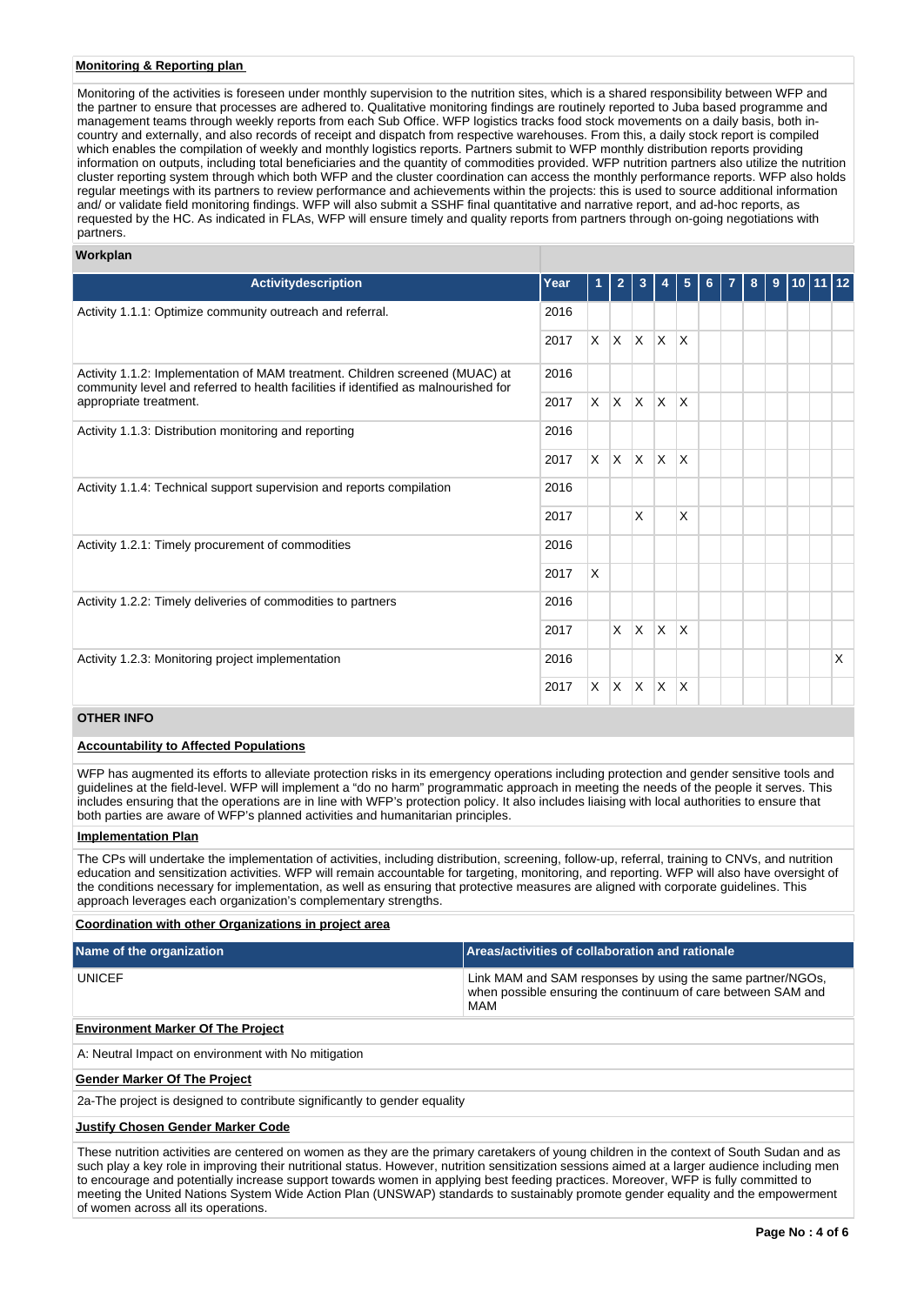## **Monitoring & Reporting plan**

Monitoring of the activities is foreseen under monthly supervision to the nutrition sites, which is a shared responsibility between WFP and the partner to ensure that processes are adhered to. Qualitative monitoring findings are routinely reported to Juba based programme and management teams through weekly reports from each Sub Office. WFP logistics tracks food stock movements on a daily basis, both incountry and externally, and also records of receipt and dispatch from respective warehouses. From this, a daily stock report is compiled which enables the compilation of weekly and monthly logistics reports. Partners submit to WFP monthly distribution reports providing information on outputs, including total beneficiaries and the quantity of commodities provided. WFP nutrition partners also utilize the nutrition cluster reporting system through which both WFP and the cluster coordination can access the monthly performance reports. WFP also holds regular meetings with its partners to review performance and achievements within the projects: this is used to source additional information and/ or validate field monitoring findings. WFP will also submit a SSHF final quantitative and narrative report, and ad-hoc reports, as requested by the HC. As indicated in FLAs, WFP will ensure timely and quality reports from partners through on-going negotiations with partners.

# **Workplan**

| <b>Activitydescription</b>                                                                                                                                          | Year | 1        | $\overline{2}$ | 3            |                         | 5                       | 6 | 7 | 8 | 9 | $10$ 11 12 |   |
|---------------------------------------------------------------------------------------------------------------------------------------------------------------------|------|----------|----------------|--------------|-------------------------|-------------------------|---|---|---|---|------------|---|
| Activity 1.1.1: Optimize community outreach and referral.                                                                                                           | 2016 |          |                |              |                         |                         |   |   |   |   |            |   |
|                                                                                                                                                                     | 2017 | $\times$ | $\mathsf{X}$   | $\mathsf{X}$ | <sup>X</sup>            | $\overline{\mathsf{x}}$ |   |   |   |   |            |   |
| Activity 1.1.2: Implementation of MAM treatment. Children screened (MUAC) at<br>community level and referred to health facilities if identified as malnourished for | 2016 |          |                |              |                         |                         |   |   |   |   |            |   |
| appropriate treatment.                                                                                                                                              | 2017 | $\times$ | ΙX.            | ΙX.          | <b>X</b>                | ΙX                      |   |   |   |   |            |   |
| Activity 1.1.3: Distribution monitoring and reporting                                                                                                               |      |          |                |              |                         |                         |   |   |   |   |            |   |
|                                                                                                                                                                     |      |          | $\mathsf{X}$   | $\mathsf{X}$ | $\overline{\mathsf{x}}$ | $\overline{\mathsf{x}}$ |   |   |   |   |            |   |
| Activity 1.1.4: Technical support supervision and reports compilation                                                                                               |      |          |                |              |                         |                         |   |   |   |   |            |   |
|                                                                                                                                                                     |      |          |                | X            |                         | X                       |   |   |   |   |            |   |
| Activity 1.2.1: Timely procurement of commodities                                                                                                                   |      |          |                |              |                         |                         |   |   |   |   |            |   |
|                                                                                                                                                                     | 2017 | X        |                |              |                         |                         |   |   |   |   |            |   |
| Activity 1.2.2: Timely deliveries of commodities to partners                                                                                                        |      |          |                |              |                         |                         |   |   |   |   |            |   |
|                                                                                                                                                                     |      |          | $\mathsf{X}$   | <sup>X</sup> | $\overline{\mathsf{x}}$ | ΙX                      |   |   |   |   |            |   |
| Activity 1.2.3: Monitoring project implementation                                                                                                                   | 2016 |          |                |              |                         |                         |   |   |   |   |            | X |
|                                                                                                                                                                     | 2017 | X        | ΙX.            | <b>X</b>     | X                       | $\overline{\mathsf{x}}$ |   |   |   |   |            |   |

# **OTHER INFO**

## **Accountability to Affected Populations**

WFP has augmented its efforts to alleviate protection risks in its emergency operations including protection and gender sensitive tools and guidelines at the field-level. WFP will implement a "do no harm" programmatic approach in meeting the needs of the people it serves. This includes ensuring that the operations are in line with WFP's protection policy. It also includes liaising with local authorities to ensure that both parties are aware of WFP's planned activities and humanitarian principles.

#### **Implementation Plan**

The CPs will undertake the implementation of activities, including distribution, screening, follow-up, referral, training to CNVs, and nutrition education and sensitization activities. WFP will remain accountable for targeting, monitoring, and reporting. WFP will also have oversight of the conditions necessary for implementation, as well as ensuring that protective measures are aligned with corporate guidelines. This approach leverages each organization's complementary strengths.

#### **Coordination with other Organizations in project area**

| Name of the organization | Areas/activities of collaboration and rationale                                                                                   |
|--------------------------|-----------------------------------------------------------------------------------------------------------------------------------|
| <b>UNICEF</b>            | Link MAM and SAM responses by using the same partner/NGOs,<br>when possible ensuring the continuum of care between SAM and<br>MAM |

## **Environment Marker Of The Project**

A: Neutral Impact on environment with No mitigation

#### **Gender Marker Of The Project**

2a-The project is designed to contribute significantly to gender equality

## **Justify Chosen Gender Marker Code**

These nutrition activities are centered on women as they are the primary caretakers of young children in the context of South Sudan and as such play a key role in improving their nutritional status. However, nutrition sensitization sessions aimed at a larger audience including men to encourage and potentially increase support towards women in applying best feeding practices. Moreover, WFP is fully committed to meeting the United Nations System Wide Action Plan (UNSWAP) standards to sustainably promote gender equality and the empowerment of women across all its operations.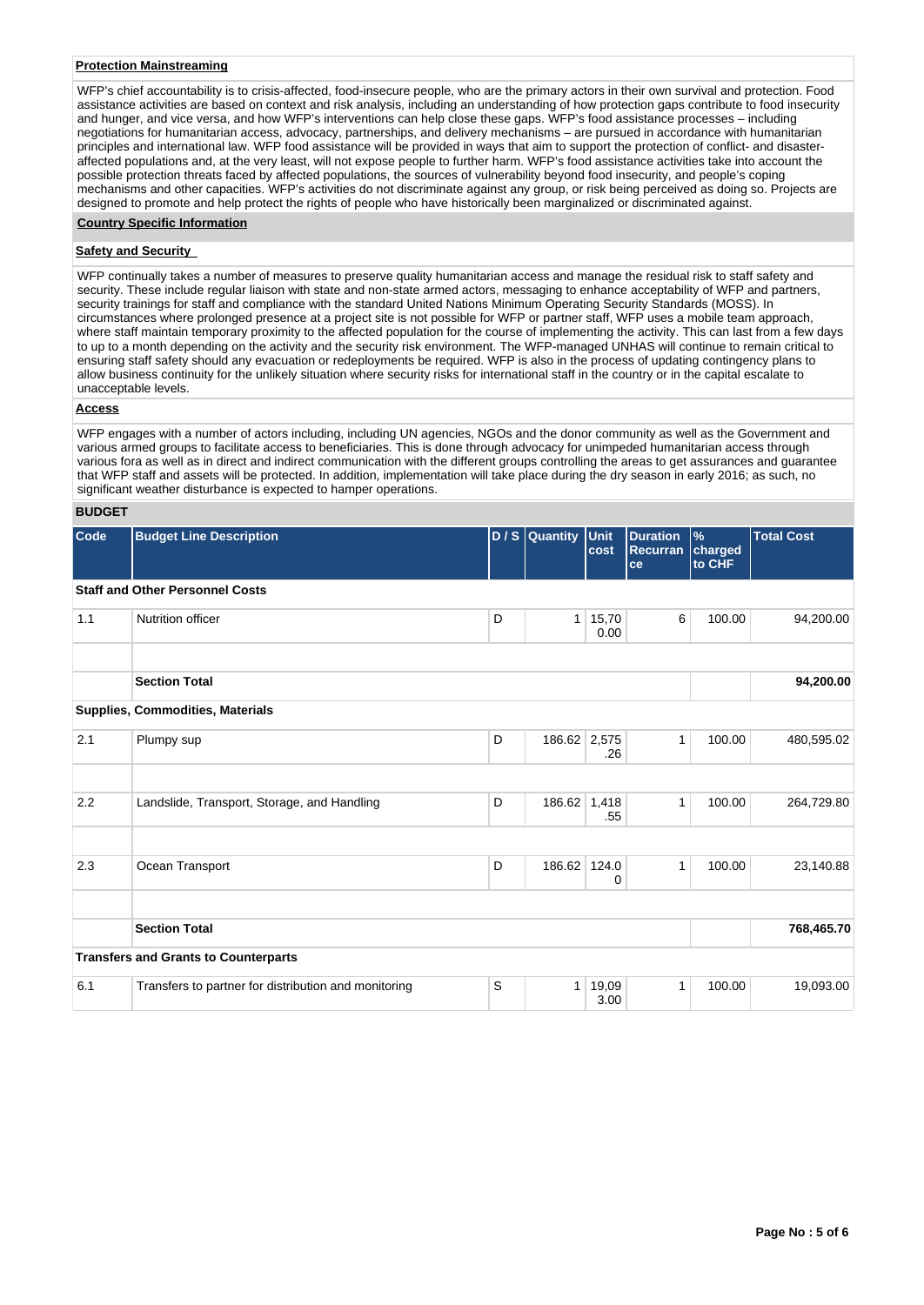### **Protection Mainstreaming**

WFP's chief accountability is to crisis-affected, food-insecure people, who are the primary actors in their own survival and protection. Food assistance activities are based on context and risk analysis, including an understanding of how protection gaps contribute to food insecurity and hunger, and vice versa, and how WFP's interventions can help close these gaps. WFP's food assistance processes – including negotiations for humanitarian access, advocacy, partnerships, and delivery mechanisms – are pursued in accordance with humanitarian principles and international law. WFP food assistance will be provided in ways that aim to support the protection of conflict- and disasteraffected populations and, at the very least, will not expose people to further harm. WFP's food assistance activities take into account the possible protection threats faced by affected populations, the sources of vulnerability beyond food insecurity, and people's coping mechanisms and other capacities. WFP's activities do not discriminate against any group, or risk being perceived as doing so. Projects are designed to promote and help protect the rights of people who have historically been marginalized or discriminated against.

## **Country Specific Information**

### **Safety and Security**

WFP continually takes a number of measures to preserve quality humanitarian access and manage the residual risk to staff safety and security. These include regular liaison with state and non-state armed actors, messaging to enhance acceptability of WFP and partners, security trainings for staff and compliance with the standard United Nations Minimum Operating Security Standards (MOSS). In circumstances where prolonged presence at a project site is not possible for WFP or partner staff, WFP uses a mobile team approach, where staff maintain temporary proximity to the affected population for the course of implementing the activity. This can last from a few days to up to a month depending on the activity and the security risk environment. The WFP-managed UNHAS will continue to remain critical to ensuring staff safety should any evacuation or redeployments be required. WFP is also in the process of updating contingency plans to allow business continuity for the unlikely situation where security risks for international staff in the country or in the capital escalate to unacceptable levels.

#### **Access**

WFP engages with a number of actors including, including UN agencies, NGOs and the donor community as well as the Government and various armed groups to facilitate access to beneficiaries. This is done through advocacy for unimpeded humanitarian access through various fora as well as in direct and indirect communication with the different groups controlling the areas to get assurances and guarantee that WFP staff and assets will be protected. In addition, implementation will take place during the dry season in early 2016; as such, no significant weather disturbance is expected to hamper operations.

## **BUDGET**

| Code | <b>Budget Line Description</b>                       |   | D / S Quantity Unit | cost          | <b>Duration</b><br><b>Recurran</b><br>ce | $\frac{9}{6}$<br>charged<br>to CHF | <b>Total Cost</b> |
|------|------------------------------------------------------|---|---------------------|---------------|------------------------------------------|------------------------------------|-------------------|
|      | <b>Staff and Other Personnel Costs</b>               |   |                     |               |                                          |                                    |                   |
| 1.1  | Nutrition officer                                    | D | 1 <sup>1</sup>      | 15,70<br>0.00 | 6                                        | 100.00                             | 94,200.00         |
|      | <b>Section Total</b>                                 |   |                     |               |                                          |                                    | 94,200.00         |
|      | Supplies, Commodities, Materials                     |   |                     |               |                                          |                                    |                   |
| 2.1  | Plumpy sup                                           | D | 186.62 2,575        | .26           | 1                                        | 100.00                             | 480,595.02        |
|      |                                                      |   |                     |               |                                          |                                    |                   |
| 2.2  | Landslide, Transport, Storage, and Handling          | D | 186.62 1,418        | .55           | 1                                        | 100.00                             | 264,729.80        |
|      |                                                      |   |                     |               |                                          |                                    |                   |
| 2.3  | Ocean Transport                                      | D | 186.62 124.0        | 0             | 1                                        | 100.00                             | 23,140.88         |
|      |                                                      |   |                     |               |                                          |                                    |                   |
|      | <b>Section Total</b>                                 |   |                     |               |                                          |                                    | 768,465.70        |
|      | <b>Transfers and Grants to Counterparts</b>          |   |                     |               |                                          |                                    |                   |
| 6.1  | Transfers to partner for distribution and monitoring | S | 1 <sup>1</sup>      | 19,09<br>3.00 | $\mathbf{1}$                             | 100.00                             | 19,093.00         |